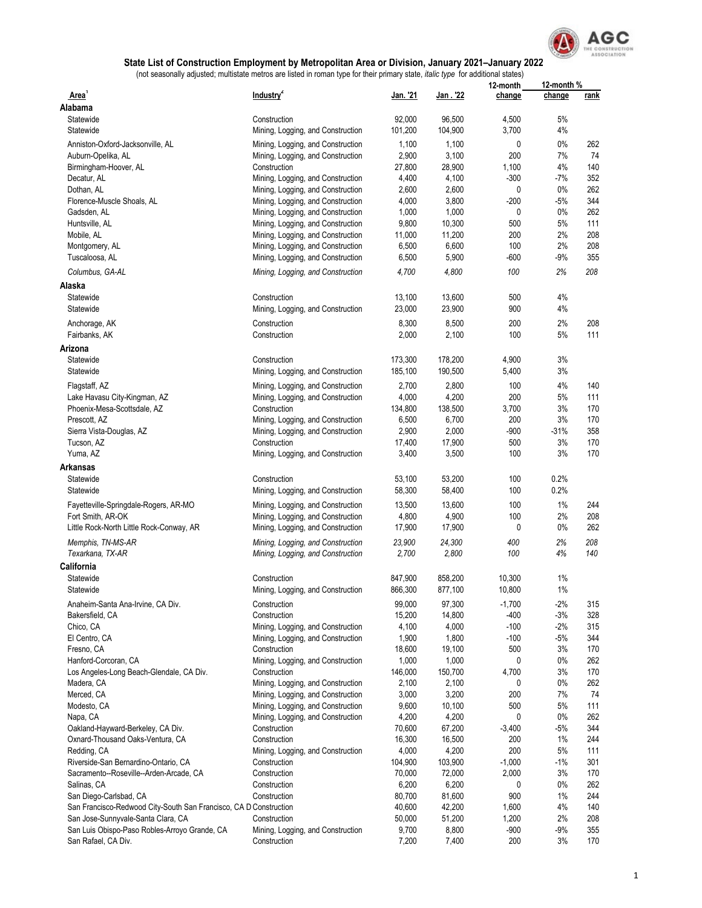

|                                                                   |                                   |          |          | 12-month | 12-month % |      |
|-------------------------------------------------------------------|-----------------------------------|----------|----------|----------|------------|------|
| Area <sup>1</sup>                                                 | Industry <sup>2</sup>             | Jan. '21 | Jan. '22 | change   | change     | rank |
| Alabama                                                           |                                   |          |          |          |            |      |
| Statewide                                                         | Construction                      | 92,000   | 96,500   | 4,500    | 5%         |      |
| Statewide                                                         | Mining, Logging, and Construction | 101,200  | 104,900  | 3,700    | 4%         |      |
| Anniston-Oxford-Jacksonville, AL                                  | Mining, Logging, and Construction | 1,100    | 1,100    | 0        | $0\%$      | 262  |
| Auburn-Opelika, AL                                                | Mining, Logging, and Construction | 2,900    | 3,100    | 200      | 7%         | 74   |
| Birmingham-Hoover, AL                                             | Construction                      | 27,800   | 28,900   | 1,100    | 4%         | 140  |
| Decatur, AL                                                       | Mining, Logging, and Construction | 4,400    | 4,100    | $-300$   | $-7%$      | 352  |
| Dothan, AL                                                        | Mining, Logging, and Construction | 2,600    | 2,600    | 0        | 0%         | 262  |
| Florence-Muscle Shoals, AL                                        | Mining, Logging, and Construction | 4,000    | 3,800    | $-200$   | $-5%$      | 344  |
| Gadsden, AL                                                       | Mining, Logging, and Construction | 1,000    | 1,000    | 0        | 0%         | 262  |
| Huntsville, AL                                                    | Mining, Logging, and Construction | 9,800    | 10,300   | 500      | 5%         | 111  |
| Mobile, AL                                                        | Mining, Logging, and Construction | 11,000   | 11,200   | 200      | 2%         | 208  |
|                                                                   | Mining, Logging, and Construction | 6,500    | 6,600    | 100      | 2%         | 208  |
| Montgomery, AL                                                    |                                   |          |          |          |            |      |
| Tuscaloosa, AL                                                    | Mining, Logging, and Construction | 6,500    | 5,900    | $-600$   | $-9%$      | 355  |
| Columbus, GA-AL                                                   | Mining, Logging, and Construction | 4,700    | 4,800    | 100      | 2%         | 208  |
| Alaska                                                            |                                   |          |          |          |            |      |
| Statewide                                                         | Construction                      | 13,100   | 13,600   | 500      | 4%         |      |
| Statewide                                                         | Mining, Logging, and Construction | 23,000   | 23,900   | 900      | 4%         |      |
| Anchorage, AK                                                     | Construction                      | 8,300    | 8,500    | 200      | 2%         | 208  |
|                                                                   | Construction                      | 2,000    |          | 100      | 5%         | 111  |
| Fairbanks, AK                                                     |                                   |          | 2,100    |          |            |      |
| Arizona                                                           |                                   |          |          |          |            |      |
| Statewide                                                         | Construction                      | 173,300  | 178,200  | 4,900    | 3%         |      |
| Statewide                                                         | Mining, Logging, and Construction | 185,100  | 190,500  | 5,400    | 3%         |      |
| Flagstaff, AZ                                                     | Mining, Logging, and Construction | 2,700    | 2,800    | 100      | 4%         | 140  |
| Lake Havasu City-Kingman, AZ                                      | Mining, Logging, and Construction | 4,000    | 4,200    | 200      | 5%         | 111  |
| Phoenix-Mesa-Scottsdale, AZ                                       | Construction                      | 134,800  | 138,500  | 3,700    | 3%         | 170  |
| Prescott, AZ                                                      | Mining, Logging, and Construction | 6,500    | 6,700    | 200      | 3%         | 170  |
| Sierra Vista-Douglas, AZ                                          | Mining, Logging, and Construction | 2,900    | 2,000    | $-900$   | $-31%$     | 358  |
| Tucson, AZ                                                        | Construction                      | 17,400   | 17,900   | 500      | 3%         | 170  |
| Yuma, AZ                                                          |                                   | 3,400    | 3,500    | 100      | 3%         | 170  |
|                                                                   | Mining, Logging, and Construction |          |          |          |            |      |
| <b>Arkansas</b>                                                   |                                   |          |          |          |            |      |
| Statewide                                                         | Construction                      | 53,100   | 53,200   | 100      | 0.2%       |      |
| Statewide                                                         | Mining, Logging, and Construction | 58,300   | 58,400   | 100      | 0.2%       |      |
| Fayetteville-Springdale-Rogers, AR-MO                             | Mining, Logging, and Construction | 13,500   | 13,600   | 100      | 1%         | 244  |
| Fort Smith, AR-OK                                                 | Mining, Logging, and Construction | 4,800    | 4,900    | 100      | 2%         | 208  |
| Little Rock-North Little Rock-Conway, AR                          | Mining, Logging, and Construction | 17,900   | 17,900   | 0        | 0%         | 262  |
|                                                                   |                                   |          |          |          |            |      |
| Memphis, TN-MS-AR                                                 | Mining, Logging, and Construction | 23,900   | 24,300   | 400      | 2%         | 208  |
| Texarkana, TX-AR                                                  | Mining, Logging, and Construction | 2,700    | 2,800    | 100      | 4%         | 140  |
| California                                                        |                                   |          |          |          |            |      |
| Statewide                                                         | Construction                      | 847,900  | 858,200  | 10,300   | 1%         |      |
| Statewide                                                         | Mining, Logging, and Construction | 866,300  | 877,100  | 10,800   | 1%         |      |
| Anaheim-Santa Ana-Irvine, CA Div.                                 | Construction                      | 99,000   | 97,300   | $-1,700$ | $-2%$      | 315  |
| Bakersfield, CA                                                   | Construction                      | 15,200   | 14,800   | $-400$   | $-3%$      | 328  |
| Chico, CA                                                         | Mining, Logging, and Construction | 4,100    | 4,000    | $-100$   | $-2%$      | 315  |
| El Centro, CA                                                     | Mining, Logging, and Construction | 1,900    | 1,800    | $-100$   | $-5%$      | 344  |
|                                                                   |                                   |          |          |          | 3%         | 170  |
| Fresno, CA                                                        | Construction                      | 18,600   | 19,100   | 500      |            |      |
| Hanford-Corcoran, CA                                              | Mining, Logging, and Construction | 1,000    | 1,000    | 0        | 0%         | 262  |
| Los Angeles-Long Beach-Glendale, CA Div.                          | Construction                      | 146,000  | 150,700  | 4,700    | 3%         | 170  |
| Madera, CA                                                        | Mining, Logging, and Construction | 2,100    | 2,100    | 0        | 0%         | 262  |
| Merced, CA                                                        | Mining, Logging, and Construction | 3,000    | 3,200    | 200      | 7%         | 74   |
| Modesto, CA                                                       | Mining, Logging, and Construction | 9,600    | 10,100   | 500      | 5%         | 111  |
| Napa, CA                                                          | Mining, Logging, and Construction | 4,200    | 4,200    | 0        | 0%         | 262  |
| Oakland-Hayward-Berkeley, CA Div.                                 | Construction                      | 70,600   | 67,200   | $-3,400$ | $-5%$      | 344  |
| Oxnard-Thousand Oaks-Ventura, CA                                  | Construction                      | 16,300   | 16,500   | 200      | 1%         | 244  |
| Redding, CA                                                       | Mining, Logging, and Construction | 4,000    | 4,200    | 200      | 5%         | 111  |
| Riverside-San Bernardino-Ontario, CA                              | Construction                      | 104,900  | 103,900  | $-1,000$ | $-1%$      | 301  |
| Sacramento--Roseville--Arden-Arcade, CA                           | Construction                      | 70,000   | 72,000   | 2,000    | 3%         | 170  |
| Salinas, CA                                                       | Construction                      | 6,200    | 6,200    | 0        | 0%         | 262  |
| San Diego-Carlsbad, CA                                            | Construction                      | 80,700   | 81,600   | 900      | 1%         | 244  |
| San Francisco-Redwood City-South San Francisco, CA D Construction |                                   | 40,600   | 42,200   | 1,600    | 4%         | 140  |
| San Jose-Sunnyvale-Santa Clara, CA                                | Construction                      | 50,000   | 51,200   | 1,200    | 2%         | 208  |
| San Luis Obispo-Paso Robles-Arroyo Grande, CA                     | Mining, Logging, and Construction | 9,700    | 8,800    | $-900$   | $-9%$      | 355  |
| San Rafael, CA Div.                                               | Construction                      | 7,200    | 7,400    | 200      | 3%         | 170  |
|                                                                   |                                   |          |          |          |            |      |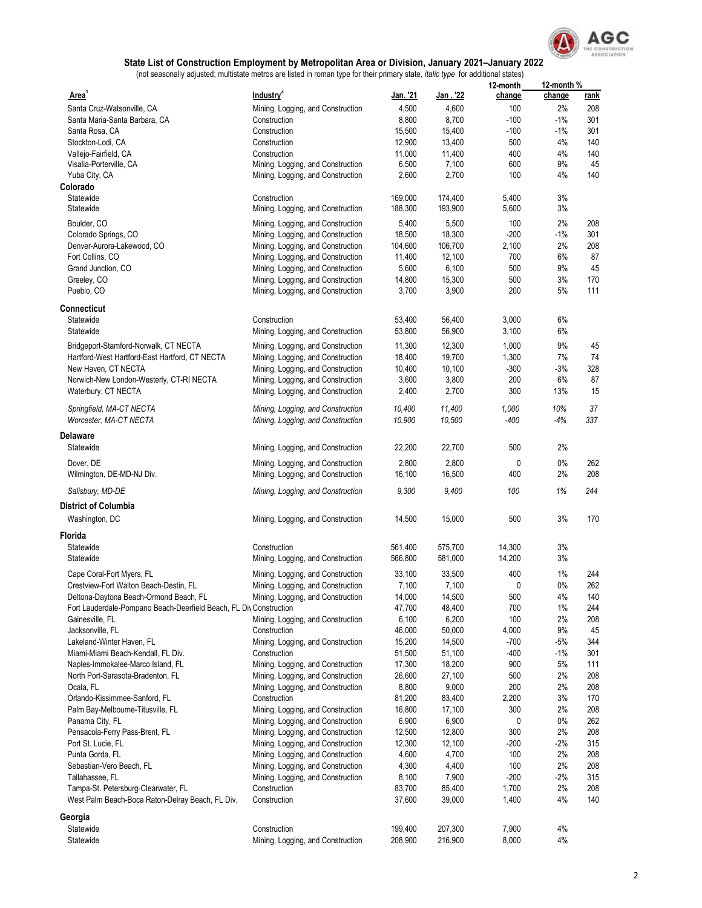

| Area'                                                              | Industry <sup>2</sup>                                                  | Jan. '21        | Jan . '22       | 12-month<br>change | 12-month %<br>change | <u>rank</u> |
|--------------------------------------------------------------------|------------------------------------------------------------------------|-----------------|-----------------|--------------------|----------------------|-------------|
| Santa Cruz-Watsonville, CA                                         | Mining, Logging, and Construction                                      | 4,500           | 4,600           | 100                | 2%                   | 208         |
| Santa Maria-Santa Barbara, CA                                      | Construction                                                           | 8,800           | 8,700           | $-100$             | $-1\%$               | 301         |
| Santa Rosa, CA                                                     | Construction                                                           | 15,500          | 15,400          | $-100$             | $-1%$                | 301         |
| Stockton-Lodi, CA                                                  | Construction                                                           | 12,900          | 13,400          | 500                | 4%                   | 140         |
| Vallejo-Fairfield, CA                                              | Construction                                                           | 11,000          | 11,400          | 400                | 4%                   | 140         |
| Visalia-Porterville, CA                                            | Mining, Logging, and Construction                                      | 6,500           | 7,100           | 600                | 9%                   | 45          |
| Yuba City, CA                                                      | Mining, Logging, and Construction                                      | 2,600           | 2,700           | 100                | 4%                   | 140         |
| Colorado                                                           |                                                                        |                 |                 |                    |                      |             |
| Statewide                                                          | Construction                                                           | 169,000         | 174,400         | 5,400              | 3%                   |             |
| Statewide                                                          | Mining, Logging, and Construction                                      | 188,300         | 193,900         | 5,600              | 3%                   |             |
| Boulder, CO                                                        | Mining, Logging, and Construction                                      | 5,400           | 5,500           | 100                | 2%                   | 208         |
| Colorado Springs, CO                                               | Mining, Logging, and Construction                                      | 18,500          | 18,300          | $-200$             | $-1\%$               | 301         |
| Denver-Aurora-Lakewood, CO                                         | Mining, Logging, and Construction                                      | 104,600         | 106,700         | 2,100              | 2%                   | 208         |
| Fort Collins, CO                                                   | Mining, Logging, and Construction                                      | 11,400          | 12,100          | 700                | 6%                   | 87          |
| Grand Junction, CO                                                 | Mining, Logging, and Construction                                      | 5,600           | 6,100<br>15,300 | 500<br>500         | 9%<br>3%             | 45<br>170   |
| Greeley, CO<br>Pueblo, CO                                          | Mining, Logging, and Construction<br>Mining, Logging, and Construction | 14,800<br>3,700 | 3,900           | 200                | 5%                   | 111         |
|                                                                    |                                                                        |                 |                 |                    |                      |             |
| Connecticut                                                        |                                                                        |                 |                 |                    |                      |             |
| Statewide                                                          | Construction                                                           | 53,400          | 56,400          | 3,000              | 6%                   |             |
| Statewide                                                          | Mining, Logging, and Construction                                      | 53,800          | 56,900          | 3,100              | 6%                   |             |
| Bridgeport-Stamford-Norwalk, CT NECTA                              | Mining, Logging, and Construction                                      | 11,300          | 12,300          | 1,000              | 9%                   | 45          |
| Hartford-West Hartford-East Hartford, CT NECTA                     | Mining, Logging, and Construction                                      | 18,400          | 19,700          | 1,300              | 7%                   | 74          |
| New Haven, CT NECTA                                                | Mining, Logging, and Construction                                      | 10,400          | 10,100          | $-300$             | $-3%$                | 328         |
| Norwich-New London-Westerly, CT-RI NECTA<br>Waterbury, CT NECTA    | Mining, Logging, and Construction<br>Mining, Logging, and Construction | 3,600<br>2,400  | 3,800<br>2,700  | 200<br>300         | 6%<br>13%            | 87<br>15    |
|                                                                    |                                                                        |                 |                 |                    |                      |             |
| Springfield, MA-CT NECTA                                           | Mining, Logging, and Construction                                      | 10,400          | 11,400          | 1,000              | 10%                  | 37          |
| Worcester, MA-CT NECTA                                             | Mining, Logging, and Construction                                      | 10,900          | 10,500          | -400               | -4%                  | 337         |
| Delaware                                                           |                                                                        |                 |                 |                    |                      |             |
| Statewide                                                          | Mining, Logging, and Construction                                      | 22,200          | 22,700          | 500                | 2%                   |             |
| Dover, DE                                                          | Mining, Logging, and Construction                                      | 2,800           | 2,800           | 0                  | 0%                   | 262         |
| Wilmington, DE-MD-NJ Div.                                          | Mining, Logging, and Construction                                      | 16,100          | 16,500          | 400                | 2%                   | 208         |
| Salisbury, MD-DE                                                   | Mining, Logging, and Construction                                      | 9,300           | 9,400           | 100                | 1%                   | 244         |
| <b>District of Columbia</b>                                        |                                                                        |                 |                 |                    |                      |             |
| Washington, DC                                                     | Mining, Logging, and Construction                                      | 14,500          | 15,000          | 500                | 3%                   | 170         |
| Florida                                                            |                                                                        |                 |                 |                    |                      |             |
| Statewide                                                          | Construction                                                           | 561,400         | 575,700         | 14,300             | 3%                   |             |
| Statewide                                                          | Mining, Logging, and Construction                                      | 566,800         | 581,000         | 14,200             | 3%                   |             |
| Cape Coral-Fort Myers, FL                                          | Mining, Logging, and Construction                                      | 33,100          | 33,500          | 400                | 1%                   | 244         |
| Crestview-Fort Walton Beach-Destin, FL                             | Mining, Logging, and Construction                                      | 7,100           | 7,100           | 0                  | 0%                   | 262         |
| Deltona-Daytona Beach-Ormond Beach, FL                             | Mining, Logging, and Construction                                      | 14,000          | 14,500          | 500                | 4%                   | 140         |
| Fort Lauderdale-Pompano Beach-Deerfield Beach, FL Div Construction |                                                                        | 47,700          | 48,400          | 700                | 1%                   | 244         |
| Gainesville, FL                                                    | Mining, Logging, and Construction                                      | 6,100           | 6,200           | 100                | 2%                   | 208         |
| Jacksonville, FL                                                   | Construction                                                           | 46,000          | 50,000          | 4,000              | 9%                   | 45          |
| Lakeland-Winter Haven, FL                                          | Mining, Logging, and Construction                                      | 15,200          | 14,500          | $-700$             | $-5%$                | 344         |
| Miami-Miami Beach-Kendall, FL Div.                                 | Construction                                                           | 51,500          | 51,100          | $-400$             | $-1%$                | 301         |
| Naples-Immokalee-Marco Island, FL                                  | Mining, Logging, and Construction                                      | 17,300          | 18,200          | 900                | 5%                   | 111         |
| North Port-Sarasota-Bradenton, FL                                  | Mining, Logging, and Construction                                      | 26,600          | 27,100          | 500                | 2%                   | 208         |
| Ocala, FL                                                          | Mining, Logging, and Construction                                      | 8,800           | 9,000           | 200                | 2%                   | 208         |
| Orlando-Kissimmee-Sanford, FL<br>Palm Bay-Melbourne-Titusville, FL | Construction                                                           | 81,200          | 83,400          | 2,200              | 3%                   | 170         |
| Panama City, FL                                                    | Mining, Logging, and Construction<br>Mining, Logging, and Construction | 16,800<br>6,900 | 17,100<br>6,900 | 300<br>0           | 2%<br>$0\%$          | 208<br>262  |
| Pensacola-Ferry Pass-Brent, FL                                     | Mining, Logging, and Construction                                      | 12,500          | 12,800          | 300                | 2%                   | 208         |
| Port St. Lucie, FL                                                 | Mining, Logging, and Construction                                      | 12,300          | 12,100          | $-200$             | $-2%$                | 315         |
| Punta Gorda, FL                                                    | Mining, Logging, and Construction                                      | 4,600           | 4,700           | 100                | 2%                   | 208         |
| Sebastian-Vero Beach, FL                                           | Mining, Logging, and Construction                                      | 4,300           | 4,400           | 100                | 2%                   | 208         |
| Tallahassee, FL                                                    | Mining, Logging, and Construction                                      | 8,100           | 7,900           | $-200$             | $-2%$                | 315         |
| Tampa-St. Petersburg-Clearwater, FL                                | Construction                                                           | 83,700          | 85,400          | 1,700              | 2%                   | 208         |
| West Palm Beach-Boca Raton-Delray Beach, FL Div.                   | Construction                                                           | 37,600          | 39,000          | 1,400              | 4%                   | 140         |
| Georgia                                                            |                                                                        |                 |                 |                    |                      |             |
| Statewide                                                          | Construction                                                           | 199,400         | 207,300         | 7,900              | 4%                   |             |
| Statewide                                                          | Mining, Logging, and Construction                                      | 208,900         | 216,900         | 8,000              | 4%                   |             |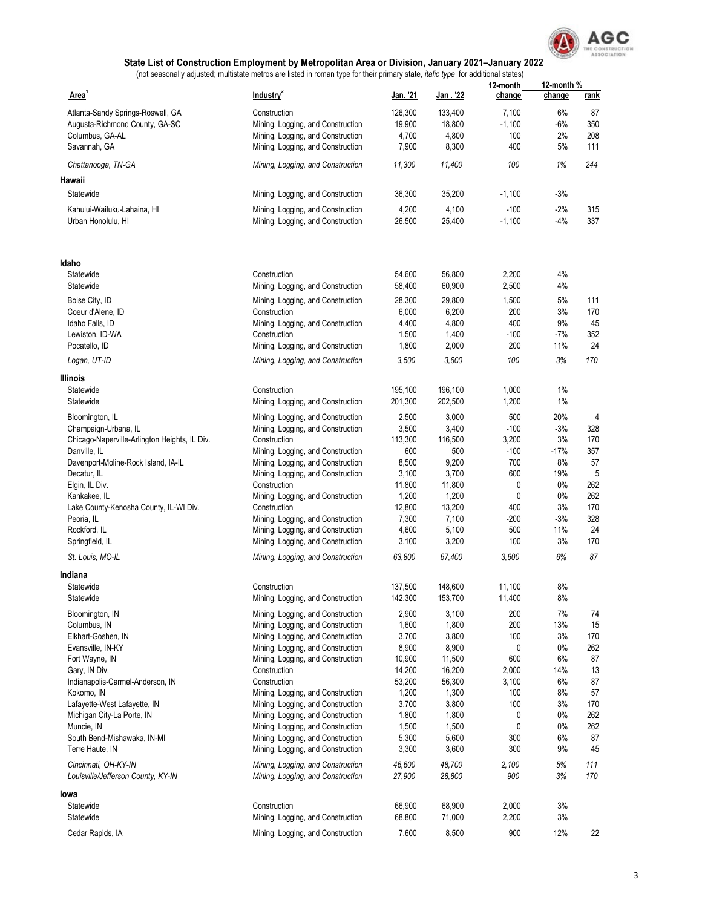

|                                               |                                                   |                    |                    | 12-month       | 12-month %     |             |
|-----------------------------------------------|---------------------------------------------------|--------------------|--------------------|----------------|----------------|-------------|
| Area'                                         | Industry <sup>2</sup>                             | <u> Jan. '21</u>   | <u> Jan . '22</u>  | change         | change         | <u>rank</u> |
| Atlanta-Sandy Springs-Roswell, GA             | Construction                                      | 126,300            | 133,400            | 7,100          | 6%             | 87          |
| Augusta-Richmond County, GA-SC                | Mining, Logging, and Construction                 | 19,900             | 18,800             | $-1,100$       | -6%            | 350         |
| Columbus, GA-AL                               | Mining, Logging, and Construction                 | 4,700              | 4,800              | 100            | 2%             | 208         |
| Savannah, GA                                  | Mining, Logging, and Construction                 | 7,900              | 8,300              | 400            | 5%             | 111         |
|                                               |                                                   |                    |                    | 100            | 1%             | 244         |
| Chattanooga, TN-GA                            | Mining, Logging, and Construction                 | 11,300             | 11,400             |                |                |             |
| Hawaii                                        |                                                   |                    |                    |                |                |             |
| Statewide                                     | Mining, Logging, and Construction                 | 36,300             | 35,200             | $-1,100$       | $-3%$          |             |
| Kahului-Wailuku-Lahaina, HI                   | Mining, Logging, and Construction                 | 4,200              | 4,100              | $-100$         | -2%            | 315         |
| Urban Honolulu, HI                            | Mining, Logging, and Construction                 | 26,500             | 25,400             | $-1,100$       | $-4%$          | 337         |
| ldaho                                         |                                                   |                    |                    |                |                |             |
| Statewide                                     | Construction                                      | 54,600             | 56,800             | 2,200          | 4%             |             |
| Statewide                                     | Mining, Logging, and Construction                 | 58,400             | 60,900             | 2,500          | 4%             |             |
| Boise City, ID                                | Mining, Logging, and Construction                 | 28,300             | 29,800             | 1,500          | 5%             | 111         |
| Coeur d'Alene, ID                             | Construction                                      | 6,000              | 6,200              | 200            | 3%             | 170         |
| Idaho Falls, ID                               | Mining, Logging, and Construction                 | 4,400              | 4,800              | 400            | 9%             | 45          |
| Lewiston, ID-WA                               | Construction                                      | 1,500              | 1,400              | $-100$         | $-7%$          | 352         |
| Pocatello, ID                                 | Mining, Logging, and Construction                 | 1,800              | 2,000              | 200            | 11%            | 24          |
|                                               |                                                   | 3,500              | 3,600              | 100            | 3%             | 170         |
| Logan, UT-ID                                  | Mining, Logging, and Construction                 |                    |                    |                |                |             |
| Illinois                                      |                                                   |                    |                    |                |                |             |
| Statewide<br>Statewide                        | Construction<br>Mining, Logging, and Construction | 195,100<br>201,300 | 196,100<br>202,500 | 1,000<br>1,200 | $1\%$<br>$1\%$ |             |
|                                               |                                                   |                    |                    |                |                |             |
| Bloomington, IL                               | Mining, Logging, and Construction                 | 2,500              | 3,000              | 500            | 20%            | 4           |
| Champaign-Urbana, IL                          | Mining, Logging, and Construction                 | 3,500              | 3,400              | $-100$         | $-3%$          | 328         |
| Chicago-Naperville-Arlington Heights, IL Div. | Construction                                      | 113,300            | 116,500            | 3,200          | 3%             | 170         |
| Danville, IL                                  | Mining, Logging, and Construction                 | 600                | 500                | $-100$         | $-17%$         | 357         |
| Davenport-Moline-Rock Island, IA-IL           | Mining, Logging, and Construction                 | 8,500              | 9,200              | 700            | 8%             | 57          |
| Decatur, IL                                   | Mining, Logging, and Construction                 | 3,100              | 3,700              | 600            | 19%            | 5           |
| Elgin, IL Div.                                | Construction                                      | 11,800             | 11,800             | 0              | 0%             | 262         |
| Kankakee, IL                                  | Mining, Logging, and Construction                 | 1,200              | 1,200              | 0              | $0\%$          | 262         |
| Lake County-Kenosha County, IL-WI Div.        | Construction                                      | 12,800             | 13,200             | 400            | 3%             | 170         |
| Peoria, IL                                    | Mining, Logging, and Construction                 | 7,300              | 7,100              | $-200$         | $-3%$          | 328         |
| Rockford, IL                                  | Mining, Logging, and Construction                 | 4,600              | 5,100              | 500            | 11%            | 24          |
| Springfield, IL                               | Mining, Logging, and Construction                 | 3,100              | 3,200              | 100            | 3%             | 170         |
| St. Louis, MO-IL                              | Mining, Logging, and Construction                 | 63,800             | 67,400             | 3,600          | 6%             | 87          |
| Indiana<br>Statewide                          | Construction                                      | 137,500            | 148,600            | 11,100         | 8%             |             |
| Statewide                                     | Mining, Logging, and Construction                 | 142,300            | 153,700            | 11,400         | $8\%$          |             |
|                                               |                                                   |                    |                    |                |                |             |
| Bloomington, IN                               | Mining, Logging, and Construction                 | 2,900              | 3,100              | 200            | $7\%$          | 74          |
| Columbus, IN                                  | Mining, Logging, and Construction                 | 1,600              | 1,800              | 200            | 13%            | 15          |
| Elkhart-Goshen, IN                            | Mining, Logging, and Construction                 | 3,700              | 3,800              | 100            | 3%             | 170         |
| Evansville, IN-KY                             | Mining, Logging, and Construction                 | 8,900              | 8,900              | 0              | 0%             | 262         |
| Fort Wayne, IN                                | Mining, Logging, and Construction                 | 10,900             | 11,500             | 600            | 6%             | 87          |
| Gary, IN Div.                                 | Construction                                      | 14,200             | 16,200             | 2,000          | 14%            | 13          |
| Indianapolis-Carmel-Anderson, IN              | Construction                                      | 53,200             | 56,300             | 3,100          | 6%             | 87          |
| Kokomo, IN                                    | Mining, Logging, and Construction                 | 1,200              | 1,300              | 100            | 8%             | 57          |
| Lafayette-West Lafayette, IN                  | Mining, Logging, and Construction                 | 3,700              | 3,800              | 100            | 3%             | 170         |
| Michigan City-La Porte, IN                    | Mining, Logging, and Construction                 | 1,800              | 1,800              | 0              | 0%             | 262         |
| Muncie, IN                                    | Mining, Logging, and Construction                 | 1,500              | 1,500              | 0              | $0\%$          | 262         |
| South Bend-Mishawaka, IN-MI                   | Mining, Logging, and Construction                 | 5,300              | 5,600              | 300            | 6%             | 87          |
| Terre Haute, IN                               | Mining, Logging, and Construction                 | 3,300              | 3,600              | 300            | 9%             | 45          |
| Cincinnati, OH-KY-IN                          | Mining, Logging, and Construction                 | 46,600             | 48,700             | 2,100          | 5%             | 111         |
| Louisville/Jefferson County, KY-IN            | Mining, Logging, and Construction                 | 27,900             | 28,800             | 900            | 3%             | 170         |
| lowa                                          |                                                   |                    |                    |                |                |             |
| Statewide                                     | Construction                                      | 66,900             | 68,900             | 2,000          | 3%             |             |
| Statewide                                     | Mining, Logging, and Construction                 | 68,800             | 71,000             | 2,200          | 3%             |             |
| Cedar Rapids, IA                              | Mining, Logging, and Construction                 | 7,600              | 8,500              | 900            | 12%            | 22          |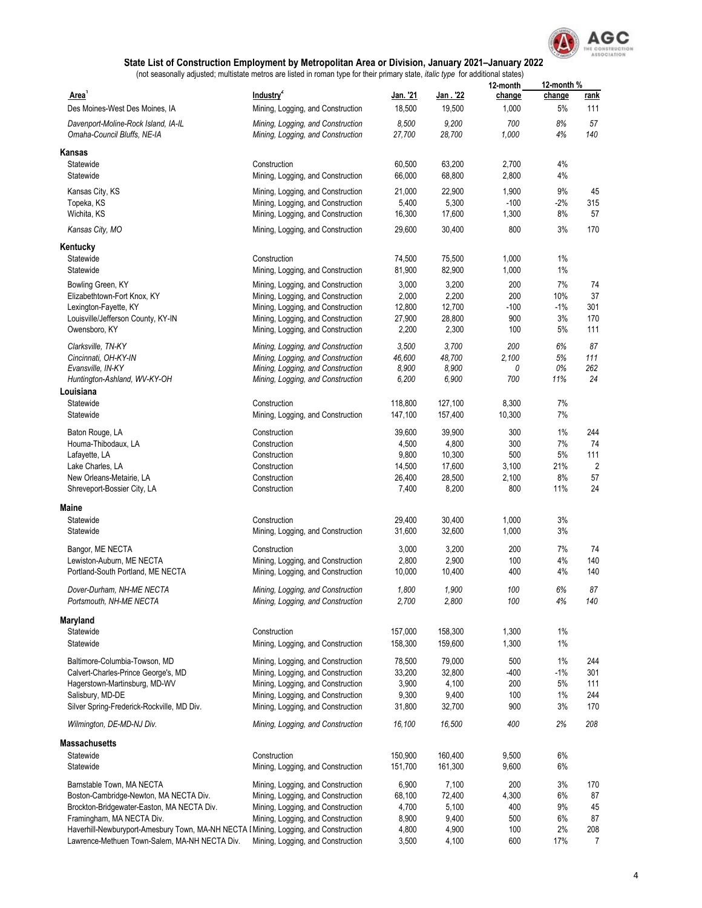

|                                                                                      |                                                            |                    |                    | 12-month        | 12-month %   |                       |
|--------------------------------------------------------------------------------------|------------------------------------------------------------|--------------------|--------------------|-----------------|--------------|-----------------------|
| Area <sup>1</sup><br>Des Moines-West Des Moines, IA                                  | Industry <sup>2</sup><br>Mining, Logging, and Construction | Jan. '21<br>18,500 | Jan. '22<br>19,500 | change<br>1,000 | change<br>5% | <u>rank</u><br>111    |
|                                                                                      | Mining, Logging, and Construction                          | 8,500              | 9,200              | 700             | 8%           | 57                    |
| Davenport-Moline-Rock Island, IA-IL<br>Omaha-Council Bluffs, NE-IA                   | Mining, Logging, and Construction                          | 27,700             | 28,700             | 1,000           | 4%           | 140                   |
| Kansas                                                                               |                                                            |                    |                    |                 |              |                       |
| Statewide                                                                            | Construction                                               | 60,500             | 63,200             | 2,700           | 4%           |                       |
| Statewide                                                                            | Mining, Logging, and Construction                          | 66,000             | 68,800             | 2,800           | 4%           |                       |
| Kansas City, KS                                                                      | Mining, Logging, and Construction                          | 21,000             | 22,900             | 1,900           | 9%           | 45                    |
| Topeka, KS                                                                           | Mining, Logging, and Construction                          | 5,400              | 5,300              | $-100$          | $-2\%$       | 315                   |
| Wichita, KS                                                                          | Mining, Logging, and Construction                          | 16,300             | 17,600             | 1,300           | 8%           | 57                    |
| Kansas City, MO                                                                      | Mining, Logging, and Construction                          | 29,600             | 30,400             | 800             | 3%           | 170                   |
| Kentucky                                                                             |                                                            |                    |                    |                 |              |                       |
| Statewide                                                                            | Construction                                               | 74,500             | 75,500             | 1,000           | $1\%$        |                       |
| Statewide                                                                            | Mining, Logging, and Construction                          | 81,900             | 82,900             | 1,000           | $1\%$        |                       |
| Bowling Green, KY                                                                    | Mining, Logging, and Construction                          | 3,000              | 3,200              | 200             | 7%           | 74                    |
| Elizabethtown-Fort Knox, KY                                                          | Mining, Logging, and Construction                          | 2,000              | 2,200              | 200             | 10%          | 37                    |
| Lexington-Fayette, KY                                                                | Mining, Logging, and Construction                          | 12,800             | 12,700             | $-100$          | $-1\%$       | 301                   |
| Louisville/Jefferson County, KY-IN                                                   | Mining, Logging, and Construction                          | 27,900             | 28,800             | 900             | 3%           | 170                   |
| Owensboro, KY                                                                        | Mining, Logging, and Construction                          | 2,200              | 2,300              | 100             | 5%           | 111                   |
| Clarksville, TN-KY                                                                   | Mining, Logging, and Construction                          | 3,500              | 3,700              | 200             | 6%           | 87                    |
| Cincinnati, OH-KY-IN                                                                 | Mining, Logging, and Construction                          | 46,600             | 48,700             | 2,100           | 5%           | 111                   |
| Evansville, IN-KY                                                                    | Mining, Logging, and Construction                          | 8,900              | 8,900              | 0               | 0%           | 262                   |
| Huntington-Ashland, WV-KY-OH                                                         | Mining, Logging, and Construction                          | 6,200              | 6,900              | 700             | 11%          | 24                    |
| Louisiana<br>Statewide                                                               | Construction                                               | 118,800            | 127,100            | 8,300           | 7%           |                       |
| Statewide                                                                            | Mining, Logging, and Construction                          | 147,100            | 157,400            | 10,300          | 7%           |                       |
|                                                                                      |                                                            |                    |                    |                 |              |                       |
| Baton Rouge, LA                                                                      | Construction                                               | 39,600             | 39,900             | 300             | $1\%$        | 244                   |
| Houma-Thibodaux, LA                                                                  | Construction                                               | 4,500              | 4,800              | 300             | 7%           | 74                    |
| Lafayette, LA<br>Lake Charles, LA                                                    | Construction<br>Construction                               | 9,800<br>14,500    | 10,300<br>17,600   | 500<br>3,100    | 5%<br>21%    | 111<br>$\overline{2}$ |
| New Orleans-Metairie, LA                                                             | Construction                                               | 26,400             | 28,500             | 2,100           | 8%           | 57                    |
| Shreveport-Bossier City, LA                                                          | Construction                                               | 7,400              | 8,200              | 800             | 11%          | 24                    |
| Maine                                                                                |                                                            |                    |                    |                 |              |                       |
| Statewide                                                                            | Construction                                               | 29,400             | 30,400             | 1,000           | 3%           |                       |
| Statewide                                                                            | Mining, Logging, and Construction                          | 31,600             | 32,600             | 1,000           | 3%           |                       |
| Bangor, ME NECTA                                                                     | Construction                                               | 3,000              | 3,200              | 200             | 7%           | 74                    |
| Lewiston-Auburn, ME NECTA                                                            | Mining, Logging, and Construction                          | 2,800              | 2,900              | 100             | 4%           | 140                   |
| Portland-South Portland, ME NECTA                                                    | Mining, Logging, and Construction                          | 10,000             | 10,400             | 400             | 4%           | 140                   |
| Dover-Durham, NH-ME NECTA                                                            | Mining, Logging, and Construction                          | 1,800              | 1,900              | 100             | 6%           | 87                    |
| Portsmouth, NH-ME NECTA                                                              | Mining, Logging, and Construction                          | 2,700              | 2,800              | 100             | $4\%$        | 140                   |
| Maryland                                                                             |                                                            |                    |                    |                 |              |                       |
| Statewide                                                                            | Construction                                               | 157,000            | 158,300            | 1,300           | $1\%$        |                       |
| Statewide                                                                            | Mining, Logging, and Construction                          | 158,300            | 159,600            | 1,300           | $1\%$        |                       |
| Baltimore-Columbia-Towson, MD                                                        | Mining, Logging, and Construction                          | 78,500             | 79,000             | 500             | $1\%$        | 244                   |
| Calvert-Charles-Prince George's, MD                                                  | Mining, Logging, and Construction                          | 33,200             | 32,800             | $-400$          | $-1\%$       | 301                   |
| Hagerstown-Martinsburg, MD-WV                                                        | Mining, Logging, and Construction                          | 3,900              | 4,100              | 200             | 5%           | 111                   |
| Salisbury, MD-DE                                                                     | Mining, Logging, and Construction                          | 9,300              | 9,400              | 100             | $1\%$        | 244                   |
| Silver Spring-Frederick-Rockville, MD Div.                                           | Mining, Logging, and Construction                          | 31,800             | 32,700             | 900             | 3%           | 170                   |
| Wilmington, DE-MD-NJ Div.                                                            | Mining, Logging, and Construction                          | 16,100             | 16,500             | 400             | 2%           | 208                   |
| Massachusetts                                                                        |                                                            |                    |                    |                 |              |                       |
| Statewide                                                                            | Construction                                               | 150,900            | 160,400            | 9,500           | 6%           |                       |
| Statewide                                                                            | Mining, Logging, and Construction                          | 151,700            | 161,300            | 9,600           | 6%           |                       |
| Barnstable Town, MA NECTA                                                            | Mining, Logging, and Construction                          | 6,900              | 7,100              | 200             | 3%           | 170                   |
| Boston-Cambridge-Newton, MA NECTA Div.                                               | Mining, Logging, and Construction                          | 68,100             | 72,400             | 4,300           | $6\%$        | 87                    |
| Brockton-Bridgewater-Easton, MA NECTA Div.                                           | Mining, Logging, and Construction                          | 4,700              | 5,100              | 400             | 9%           | 45                    |
| Framingham, MA NECTA Div.                                                            | Mining, Logging, and Construction                          | 8,900              | 9,400              | 500             | 6%           | 87                    |
| Haverhill-Newburyport-Amesbury Town, MA-NH NECTA I Mining, Logging, and Construction |                                                            | 4,800              | 4,900              | 100             | 2%           | 208                   |
| Lawrence-Methuen Town-Salem, MA-NH NECTA Div.                                        | Mining, Logging, and Construction                          | 3,500              | 4,100              | 600             | 17%          | $\overline{7}$        |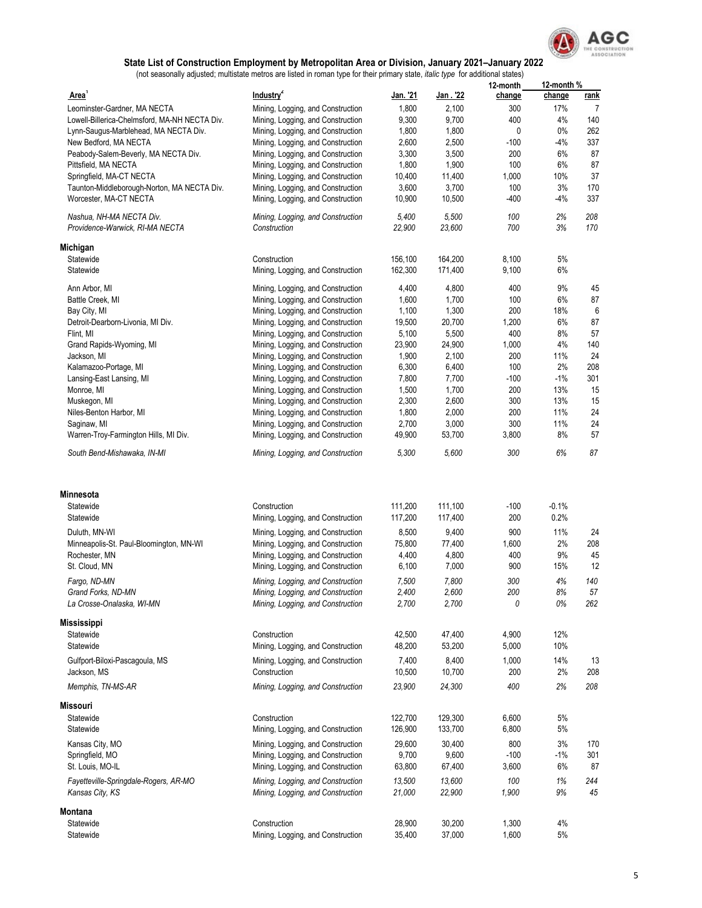

|                                                             |                                                                        |                    |                    | 12-month       | 12-month % |             |
|-------------------------------------------------------------|------------------------------------------------------------------------|--------------------|--------------------|----------------|------------|-------------|
| <b>Area</b>                                                 | Industry <sup>2</sup>                                                  | <u> Jan. '21</u>   | <u> Jan . '22</u>  | change         | change     | <u>rank</u> |
| Leominster-Gardner, MA NECTA                                | Mining, Logging, and Construction                                      | 1,800              | 2,100              | 300            | 17%        | 7           |
| Lowell-Billerica-Chelmsford, MA-NH NECTA Div.               | Mining, Logging, and Construction                                      | 9,300              | 9,700              | 400            | 4%         | 140         |
| Lynn-Saugus-Marblehead, MA NECTA Div.                       | Mining, Logging, and Construction                                      | 1,800              | 1,800              | 0              | 0%         | 262         |
| New Bedford, MA NECTA                                       | Mining, Logging, and Construction                                      | 2,600              | 2,500              | $-100$         | $-4%$      | 337         |
| Peabody-Salem-Beverly, MA NECTA Div.                        | Mining, Logging, and Construction                                      | 3,300              | 3,500              | 200            | 6%         | 87          |
| Pittsfield, MA NECTA                                        | Mining, Logging, and Construction                                      | 1,800              | 1,900              | 100            | 6%         | 87          |
| Springfield, MA-CT NECTA                                    | Mining, Logging, and Construction                                      | 10,400             | 11,400             | 1,000          | 10%        | 37          |
| Taunton-Middleborough-Norton, MA NECTA Div.                 | Mining, Logging, and Construction                                      | 3,600              | 3,700              | 100            | 3%         | 170         |
| Worcester, MA-CT NECTA                                      | Mining, Logging, and Construction                                      | 10,900             | 10,500             | -400           | -4%        | 337         |
| Nashua, NH-MA NECTA Div.<br>Providence-Warwick, RI-MA NECTA | Mining, Logging, and Construction<br>Construction                      | 5,400<br>22,900    | 5,500<br>23,600    | 100<br>700     | 2%<br>3%   | 208<br>170  |
| Michigan                                                    |                                                                        |                    |                    |                |            |             |
| Statewide                                                   | Construction                                                           | 156,100            | 164,200            | 8,100          | 5%         |             |
| Statewide                                                   | Mining, Logging, and Construction                                      | 162,300            | 171,400            | 9,100          | 6%         |             |
| Ann Arbor, MI                                               | Mining, Logging, and Construction                                      | 4,400              | 4,800              | 400            | 9%         | 45          |
| Battle Creek, MI                                            | Mining, Logging, and Construction                                      | 1,600              | 1,700              | 100            | 6%         | 87          |
| Bay City, MI                                                | Mining, Logging, and Construction                                      | 1,100              | 1,300              | 200            | 18%        | 6           |
| Detroit-Dearborn-Livonia, MI Div.                           | Mining, Logging, and Construction                                      | 19,500             | 20,700             | 1,200          | 6%         | 87          |
| Flint, MI                                                   | Mining, Logging, and Construction                                      | 5,100              | 5,500              | 400            | 8%         | 57          |
| Grand Rapids-Wyoming, MI                                    | Mining, Logging, and Construction                                      | 23,900             | 24,900             | 1,000          | 4%         | 140         |
| Jackson, MI                                                 | Mining, Logging, and Construction                                      | 1,900              | 2,100              | 200            | 11%        | 24          |
| Kalamazoo-Portage, MI                                       | Mining, Logging, and Construction                                      | 6,300              | 6,400              | 100            | 2%         | 208         |
| Lansing-East Lansing, MI                                    | Mining, Logging, and Construction                                      | 7,800              | 7,700              | -100           | $-1%$      | 301         |
| Monroe, MI                                                  | Mining, Logging, and Construction                                      | 1,500              | 1,700              | 200            | 13%        | 15          |
| Muskegon, MI                                                | Mining, Logging, and Construction                                      | 2,300              | 2,600              | 300            | 13%        | 15          |
| Niles-Benton Harbor, MI                                     | Mining, Logging, and Construction                                      | 1,800              | 2,000              | 200            | 11%        | 24          |
| Saginaw, MI                                                 | Mining, Logging, and Construction                                      | 2,700              | 3,000              | 300            | 11%        | 24          |
| Warren-Troy-Farmington Hills, MI Div.                       | Mining, Logging, and Construction                                      | 49,900             | 53,700             | 3,800          | 8%         | 57          |
| South Bend-Mishawaka, IN-MI                                 | Mining, Logging, and Construction                                      | 5,300              | 5,600              | 300            | 6%         | 87          |
|                                                             |                                                                        |                    |                    |                |            |             |
| Minnesota                                                   |                                                                        |                    |                    |                |            |             |
| Statewide                                                   | Construction                                                           | 111,200            | 111,100            | -100           | $-0.1%$    |             |
| Statewide                                                   | Mining, Logging, and Construction                                      | 117,200            | 117,400            | 200            | 0.2%       |             |
| Duluth, MN-WI                                               | Mining, Logging, and Construction                                      | 8,500              | 9,400              | 900            | 11%        | 24          |
| Minneapolis-St. Paul-Bloomington, MN-WI                     | Mining, Logging, and Construction                                      | 75,800             | 77,400             | 1,600          | 2%         | 208         |
| Rochester, MN                                               | Mining, Logging, and Construction                                      | 4,400              | 4,800              | 400            | 9%         | 45          |
| St. Cloud, MN                                               | Mining, Logging, and Construction                                      | 6,100              | 7,000              | 900            | 15%        | 12          |
| Fargo, ND-MN                                                | Mining, Logging, and Construction                                      | 7,500              | 7,800              | 300            | 4%         | 140         |
| Grand Forks, ND-MN                                          | Mining, Logging, and Construction                                      | 2,400              | 2,600              | 200            | 8%         | 57          |
| La Crosse-Onalaska, WI-MN                                   | Mining, Logging, and Construction                                      | 2,700              | 2,700              | 0              | 0%         | 262         |
| <b>Mississippi</b>                                          |                                                                        |                    |                    |                |            |             |
| Statewide                                                   | Construction                                                           | 42,500             | 47,400             | 4,900          | 12%        |             |
| Statewide                                                   | Mining, Logging, and Construction                                      | 48,200             | 53,200             | 5,000          | 10%        |             |
| Gulfport-Biloxi-Pascagoula, MS                              | Mining, Logging, and Construction                                      | 7,400              | 8,400              | 1,000          | 14%        | 13          |
| Jackson, MS                                                 | Construction                                                           | 10,500             | 10,700             | 200            | 2%         | 208         |
| Memphis, TN-MS-AR                                           | Mining, Logging, and Construction                                      | 23,900             | 24,300             | 400            | 2%         | 208         |
| Missouri                                                    |                                                                        |                    |                    |                |            |             |
| Statewide<br>Statewide                                      | Construction<br>Mining, Logging, and Construction                      | 122,700<br>126,900 | 129,300<br>133,700 | 6,600<br>6,800 | 5%<br>5%   |             |
|                                                             |                                                                        |                    |                    |                |            |             |
| Kansas City, MO                                             | Mining, Logging, and Construction                                      | 29,600             | 30,400             | 800            | 3%         | 170         |
| Springfield, MO                                             | Mining, Logging, and Construction                                      | 9,700              | 9,600              | $-100$         | $-1\%$     | 301         |
| St. Louis, MO-IL                                            | Mining, Logging, and Construction                                      | 63,800             | 67,400             | 3,600          | 6%         | 87          |
| Fayetteville-Springdale-Rogers, AR-MO<br>Kansas City, KS    | Mining, Logging, and Construction<br>Mining, Logging, and Construction | 13,500<br>21,000   | 13,600<br>22,900   | 100<br>1,900   | 1%<br>9%   | 244<br>45   |
| Montana                                                     |                                                                        |                    |                    |                |            |             |
| Statewide                                                   | Construction                                                           | 28,900             | 30,200             | 1,300          | 4%         |             |
| Statewide                                                   | Mining, Logging, and Construction                                      | 35,400             | 37,000             | 1,600          | 5%         |             |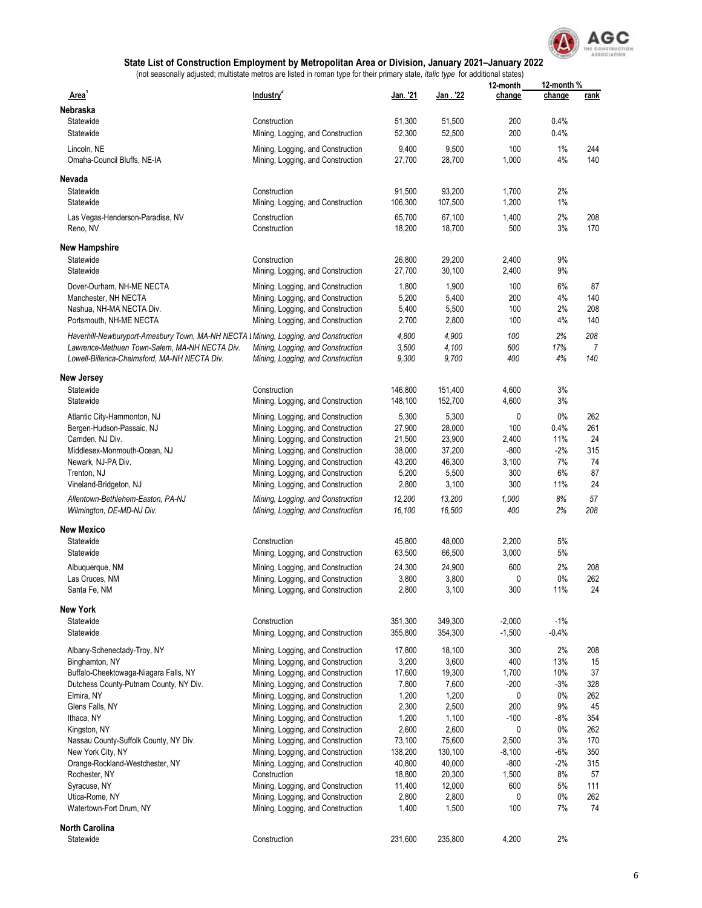

|                                                                                      |                                   |                  |                    | 12-month       | 12-month % |          |
|--------------------------------------------------------------------------------------|-----------------------------------|------------------|--------------------|----------------|------------|----------|
| Area <sup>1</sup>                                                                    | Industry <sup>2</sup>             | Jan. '21         | Jan. 22            | change         | change     | rank     |
| Nebraska                                                                             |                                   |                  |                    |                |            |          |
| Statewide                                                                            | Construction                      | 51,300           | 51,500             | 200            | 0.4%       |          |
| Statewide                                                                            | Mining, Logging, and Construction | 52,300           | 52,500             | 200            | 0.4%       |          |
| Lincoln, NE                                                                          | Mining, Logging, and Construction | 9,400            | 9,500              | 100            | 1%         | 244      |
| Omaha-Council Bluffs, NE-IA                                                          | Mining, Logging, and Construction | 27,700           | 28,700             | 1,000          | 4%         | 140      |
|                                                                                      |                                   |                  |                    |                |            |          |
| Nevada                                                                               |                                   |                  |                    |                |            |          |
| Statewide                                                                            | Construction                      | 91,500           | 93,200             | 1,700          | 2%         |          |
| Statewide                                                                            | Mining, Logging, and Construction | 106,300          | 107,500            | 1,200          | 1%         |          |
| Las Vegas-Henderson-Paradise, NV                                                     | Construction                      | 65,700           | 67,100             | 1,400          | 2%         | 208      |
| Reno, NV                                                                             | Construction                      | 18,200           | 18,700             | 500            | 3%         | 170      |
|                                                                                      |                                   |                  |                    |                |            |          |
| New Hampshire<br>Statewide                                                           | Construction                      |                  |                    |                | 9%         |          |
| Statewide                                                                            |                                   | 26,800<br>27,700 | 29,200<br>30,100   | 2,400<br>2,400 | 9%         |          |
|                                                                                      | Mining, Logging, and Construction |                  |                    |                |            |          |
| Dover-Durham, NH-ME NECTA                                                            | Mining, Logging, and Construction | 1,800            | 1,900              | 100            | 6%         | 87       |
| Manchester, NH NECTA                                                                 | Mining, Logging, and Construction | 5,200            | 5,400              | 200            | 4%         | 140      |
| Nashua, NH-MA NECTA Div.                                                             | Mining, Logging, and Construction | 5,400            | 5,500              | 100            | 2%         | 208      |
| Portsmouth, NH-ME NECTA                                                              | Mining, Logging, and Construction | 2,700            | 2,800              | 100            | 4%         | 140      |
| Haverhill-Newburyport-Amesbury Town, MA-NH NECTA I Mining, Logging, and Construction |                                   | 4,800            | 4,900              | 100            | 2%         | 208      |
| Lawrence-Methuen Town-Salem, MA-NH NECTA Div.                                        | Mining, Logging, and Construction | 3,500            | 4,100              | 600            | 17%        | 7        |
| Lowell-Billerica-Chelmsford, MA-NH NECTA Div.                                        | Mining, Logging, and Construction | 9,300            | 9,700              | 400            | 4%         | 140      |
|                                                                                      |                                   |                  |                    |                |            |          |
| New Jersey                                                                           |                                   |                  |                    |                |            |          |
| Statewide                                                                            | Construction                      | 146,800          | 151,400<br>152,700 | 4,600          | 3%<br>3%   |          |
| Statewide                                                                            | Mining, Logging, and Construction | 148,100          |                    | 4,600          |            |          |
| Atlantic City-Hammonton, NJ                                                          | Mining, Logging, and Construction | 5,300            | 5,300              | 0              | 0%         | 262      |
| Bergen-Hudson-Passaic, NJ                                                            | Mining, Logging, and Construction | 27,900           | 28,000             | 100            | 0.4%       | 261      |
| Camden, NJ Div.                                                                      | Mining, Logging, and Construction | 21,500           | 23,900             | 2,400          | 11%        | 24       |
| Middlesex-Monmouth-Ocean, NJ                                                         | Mining, Logging, and Construction | 38,000           | 37,200             | -800           | $-2%$      | 315      |
| Newark, NJ-PA Div.                                                                   | Mining, Logging, and Construction | 43,200           | 46,300             | 3,100          | 7%         | 74       |
| Trenton, NJ                                                                          | Mining, Logging, and Construction | 5,200            | 5,500<br>3,100     | 300<br>300     | 6%<br>11%  | 87<br>24 |
| Vineland-Bridgeton, NJ                                                               | Mining, Logging, and Construction | 2,800            |                    |                |            |          |
| Allentown-Bethlehem-Easton, PA-NJ                                                    | Mining, Logging, and Construction | 12,200           | 13,200             | 1,000          | 8%         | 57       |
| Wilmington, DE-MD-NJ Div.                                                            | Mining, Logging, and Construction | 16,100           | 16,500             | 400            | 2%         | 208      |
| New Mexico                                                                           |                                   |                  |                    |                |            |          |
| Statewide                                                                            | Construction                      | 45,800           | 48,000             | 2,200          | 5%         |          |
| Statewide                                                                            | Mining, Logging, and Construction | 63,500           | 66,500             | 3,000          | 5%         |          |
| Albuquerque, NM                                                                      | Mining, Logging, and Construction | 24,300           | 24,900             | 600            | 2%         | 208      |
| Las Cruces, NM                                                                       | Mining, Logging, and Construction | 3,800            | 3,800              | 0              | $0\%$      | 262      |
| Santa Fe, NM                                                                         | Mining, Logging, and Construction | 2,800            | 3,100              | 300            | 11%        | 24       |
|                                                                                      |                                   |                  |                    |                |            |          |
| <b>New York</b>                                                                      |                                   |                  |                    |                |            |          |
| Statewide                                                                            | Construction                      | 351,300          | 349,300            | $-2,000$       | $-1\%$     |          |
| Statewide                                                                            | Mining, Logging, and Construction | 355,800          | 354,300            | $-1,500$       | $-0.4%$    |          |
| Albany-Schenectady-Troy, NY                                                          | Mining, Logging, and Construction | 17,800           | 18,100             | 300            | 2%         | 208      |
| Binghamton, NY                                                                       | Mining, Logging, and Construction | 3,200            | 3,600              | 400            | 13%        | 15       |
| Buffalo-Cheektowaga-Niagara Falls, NY                                                | Mining, Logging, and Construction | 17,600           | 19,300             | 1,700          | 10%        | 37       |
| Dutchess County-Putnam County, NY Div.                                               | Mining, Logging, and Construction | 7,800            | 7,600              | $-200$         | $-3%$      | 328      |
| Elmira, NY                                                                           | Mining, Logging, and Construction | 1,200            | 1,200              | 0              | 0%         | 262      |
| Glens Falls, NY                                                                      | Mining, Logging, and Construction | 2,300            | 2,500              | 200            | 9%         | 45       |
| Ithaca, NY                                                                           | Mining, Logging, and Construction | 1,200            | 1,100              | $-100$         | $-8%$      | 354      |
| Kingston, NY                                                                         | Mining, Logging, and Construction | 2,600            | 2,600              | 0              | $0\%$      | 262      |
| Nassau County-Suffolk County, NY Div.                                                | Mining, Logging, and Construction | 73,100           | 75,600             | 2,500          | 3%         | 170      |
| New York City, NY                                                                    | Mining, Logging, and Construction | 138,200          | 130,100            | $-8,100$       | -6%        | 350      |
| Orange-Rockland-Westchester, NY                                                      | Mining, Logging, and Construction | 40,800           | 40,000             | $-800$         | $-2%$      | 315      |
| Rochester, NY                                                                        | Construction                      | 18,800           | 20,300             | 1,500          | 8%         | 57       |
| Syracuse, NY                                                                         | Mining, Logging, and Construction | 11,400           | 12,000             | 600            | 5%         | 111      |
| Utica-Rome, NY                                                                       | Mining, Logging, and Construction | 2,800            | 2,800              | 0              | $0\%$      | 262      |
| Watertown-Fort Drum, NY                                                              | Mining, Logging, and Construction | 1,400            | 1,500              | 100            | 7%         | 74       |
| North Carolina                                                                       |                                   |                  |                    |                |            |          |
| Statewide                                                                            | Construction                      | 231,600          | 235,800            | 4,200          | 2%         |          |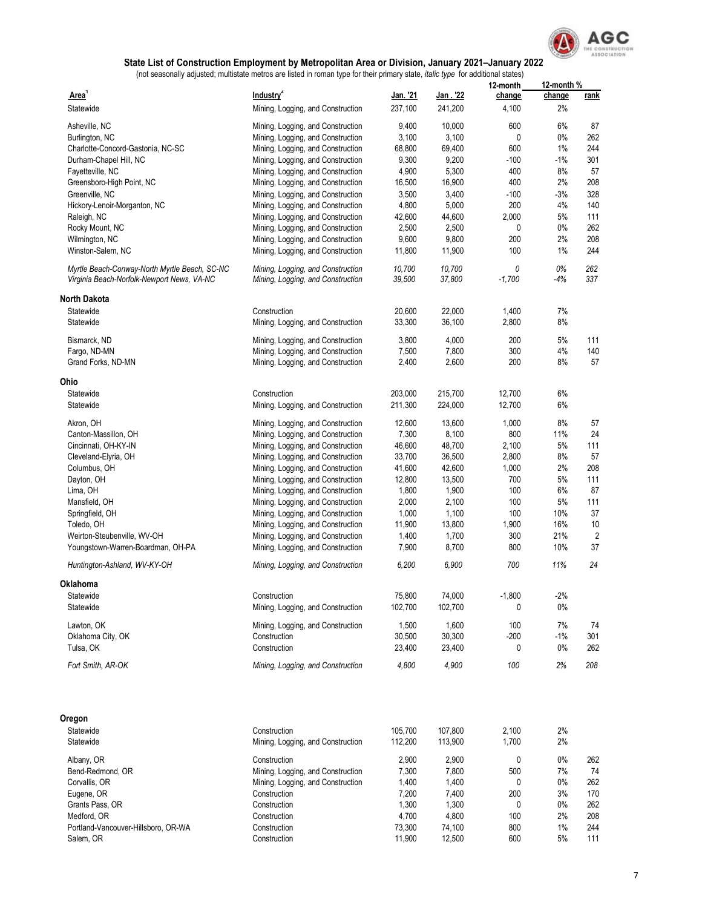

|                                               |                                   |          |           | 12-month   | 12-month % |                |
|-----------------------------------------------|-----------------------------------|----------|-----------|------------|------------|----------------|
| Area <sup>1</sup>                             | Industry <sup>2</sup>             | Jan. '21 | Jan . '22 | change     | change     | rank           |
| Statewide                                     | Mining, Logging, and Construction | 237,100  | 241,200   | 4,100      | 2%         |                |
| Asheville, NC                                 | Mining, Logging, and Construction | 9,400    | 10,000    | 600        | 6%         | 87             |
| Burlington, NC                                | Mining, Logging, and Construction | 3,100    | 3,100     | 0          | 0%         | 262            |
| Charlotte-Concord-Gastonia, NC-SC             | Mining, Logging, and Construction | 68,800   | 69,400    | 600        | 1%         | 244            |
| Durham-Chapel Hill, NC                        | Mining, Logging, and Construction | 9,300    | 9,200     | $-100$     | $-1\%$     | 301            |
| Fayetteville, NC                              | Mining, Logging, and Construction | 4,900    | 5,300     | 400        | 8%         | 57             |
| Greensboro-High Point, NC                     | Mining, Logging, and Construction | 16,500   | 16,900    | 400        | 2%         | 208            |
| Greenville, NC                                | Mining, Logging, and Construction | 3,500    | 3,400     | $-100$     | $-3%$      | 328            |
| Hickory-Lenoir-Morganton, NC                  | Mining, Logging, and Construction | 4,800    | 5,000     | 200        | 4%         | 140            |
| Raleigh, NC                                   | Mining, Logging, and Construction | 42,600   | 44,600    | 2,000      | 5%         | 111            |
| Rocky Mount, NC                               | Mining, Logging, and Construction | 2,500    | 2,500     | 0          | 0%         | 262            |
| Wilmington, NC                                | Mining, Logging, and Construction | 9,600    | 9,800     | 200        | 2%         | 208            |
| Winston-Salem, NC                             | Mining, Logging, and Construction | 11,800   | 11,900    | 100        | 1%         | 244            |
|                                               |                                   |          |           |            |            |                |
| Myrtle Beach-Conway-North Myrtle Beach, SC-NC | Mining, Logging, and Construction | 10,700   | 10,700    | 0          | 0%         | 262            |
| Virginia Beach-Norfolk-Newport News, VA-NC    | Mining, Logging, and Construction | 39,500   | 37,800    | $-1,700$   | -4%        | 337            |
| <b>North Dakota</b>                           |                                   |          |           |            |            |                |
| Statewide                                     | Construction                      | 20,600   | 22,000    | 1,400      | 7%         |                |
| Statewide                                     | Mining, Logging, and Construction | 33,300   | 36,100    | 2,800      | 8%         |                |
|                                               |                                   |          |           |            | 5%         |                |
| Bismarck, ND                                  | Mining, Logging, and Construction | 3,800    | 4,000     | 200        |            | 111            |
| Fargo, ND-MN                                  | Mining, Logging, and Construction | 7,500    | 7,800     | 300<br>200 | 4%<br>8%   | 140            |
| Grand Forks, ND-MN                            | Mining, Logging, and Construction | 2,400    | 2,600     |            |            | 57             |
| Ohio                                          |                                   |          |           |            |            |                |
| Statewide                                     | Construction                      | 203,000  | 215,700   | 12,700     | 6%         |                |
| Statewide                                     | Mining, Logging, and Construction | 211,300  | 224,000   | 12,700     | 6%         |                |
| Akron, OH                                     | Mining, Logging, and Construction | 12,600   | 13,600    | 1,000      | 8%         | 57             |
| Canton-Massillon, OH                          | Mining, Logging, and Construction | 7,300    | 8,100     | 800        | 11%        | 24             |
| Cincinnati, OH-KY-IN                          | Mining, Logging, and Construction | 46,600   | 48,700    | 2,100      | 5%         | 111            |
| Cleveland-Elyria, OH                          | Mining, Logging, and Construction | 33,700   | 36,500    | 2,800      | 8%         | 57             |
| Columbus, OH                                  | Mining, Logging, and Construction | 41,600   | 42,600    | 1,000      | 2%         | 208            |
| Dayton, OH                                    | Mining, Logging, and Construction | 12,800   | 13,500    | 700        | 5%         | 111            |
| Lima, OH                                      | Mining, Logging, and Construction | 1,800    | 1,900     | 100        | 6%         | 87             |
| Mansfield, OH                                 | Mining, Logging, and Construction | 2,000    | 2,100     | 100        | 5%         | 111            |
| Springfield, OH                               | Mining, Logging, and Construction | 1,000    | 1,100     | 100        | 10%        | 37             |
| Toledo, OH                                    | Mining, Logging, and Construction | 11,900   | 13,800    | 1,900      | 16%        | 10             |
| Weirton-Steubenville, WV-OH                   | Mining, Logging, and Construction | 1,400    | 1,700     | 300        | 21%        | $\overline{2}$ |
| Youngstown-Warren-Boardman, OH-PA             | Mining, Logging, and Construction | 7,900    | 8,700     | 800        | 10%        | 37             |
|                                               |                                   |          |           |            |            |                |
| Huntington-Ashland, WV-KY-OH                  | Mining, Logging, and Construction | 6,200    | 6,900     | 700        | 11%        | 24             |
| Oklahoma                                      |                                   |          |           |            |            |                |
| Statewide                                     | Construction                      | 75,800   | 74,000    | $-1,800$   | -2%        |                |
| Statewide                                     | Mining, Logging, and Construction | 102,700  | 102,700   | 0          | 0%         |                |
| Lawton, OK                                    | Mining, Logging, and Construction | 1,500    | 1,600     | 100        | 7%         | 74             |
| Oklahoma City, OK                             | Construction                      | 30,500   | 30,300    | $-200$     | $-1%$      | 301            |
| Tulsa, OK                                     | Construction                      | 23,400   | 23,400    | 0          | 0%         | 262            |
|                                               |                                   |          |           |            |            |                |
| Fort Smith, AR-OK                             | Mining, Logging, and Construction | 4,800    | 4,900     | 100        | 2%         | 208            |
| Oregon                                        |                                   |          |           |            |            |                |
|                                               |                                   |          |           |            |            |                |
| Statewide                                     | Construction                      | 105,700  | 107,800   | 2,100      | 2%         |                |
| Statewide                                     | Mining, Logging, and Construction | 112,200  | 113,900   | 1,700      | 2%         |                |
| Albany, OR                                    | Construction                      | 2,900    | 2,900     | 0          | 0%         | 262            |
| Bend-Redmond, OR                              | Mining, Logging, and Construction | 7,300    | 7,800     | 500        | 7%         | 74             |
| Corvallis, OR                                 | Mining, Logging, and Construction | 1,400    | 1,400     | 0          | 0%         | 262            |
| Eugene, OR                                    | Construction                      | 7,200    | 7,400     | 200        | 3%         | 170            |
| Grants Pass, OR                               | Construction                      | 1,300    | 1,300     | 0          | 0%         | 262            |
| Medford, OR                                   | Construction                      | 4,700    | 4,800     | 100        | 2%         | 208            |
| Portland-Vancouver-Hillsboro, OR-WA           | Construction                      | 73,300   | 74,100    | 800        | 1%         | 244            |
| Salem, OR                                     | Construction                      | 11,900   | 12,500    | 600        | 5%         | 111            |
|                                               |                                   |          |           |            |            |                |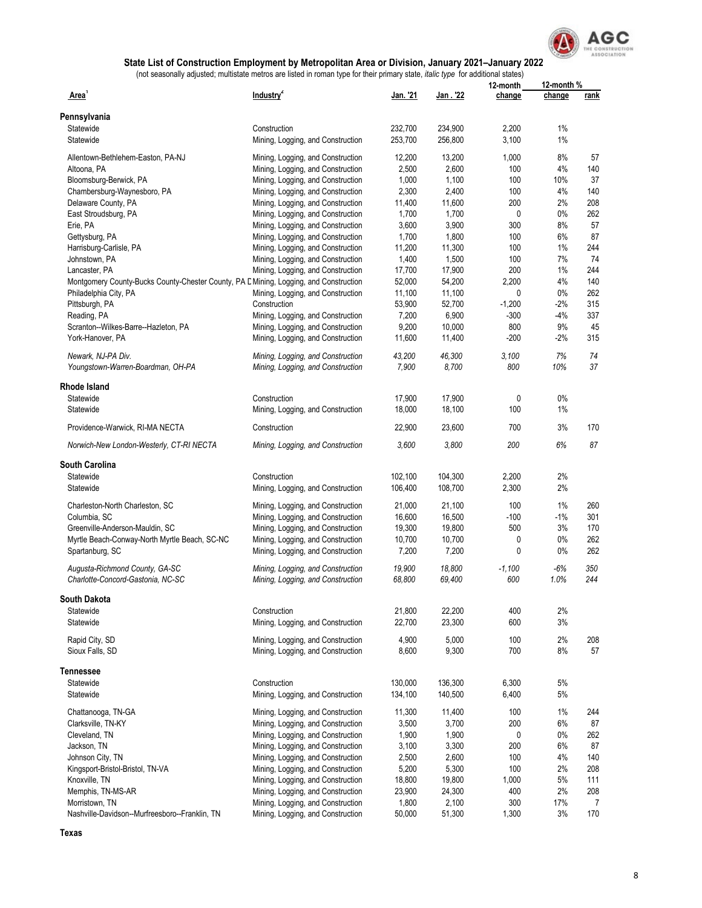

|                                                                                       |                                   |                 |          | 12-month | 12-month % |            |
|---------------------------------------------------------------------------------------|-----------------------------------|-----------------|----------|----------|------------|------------|
| Area'                                                                                 | Industry <sup>2</sup>             | <u>Jan.</u> '21 | Jan. '22 | change   | change     | rank       |
| Pennsylvania                                                                          |                                   |                 |          |          |            |            |
| Statewide                                                                             | Construction                      | 232,700         | 234,900  | 2,200    | 1%         |            |
| Statewide                                                                             | Mining, Logging, and Construction | 253,700         | 256,800  | 3,100    | 1%         |            |
| Allentown-Bethlehem-Easton, PA-NJ                                                     | Mining, Logging, and Construction | 12,200          | 13,200   | 1,000    | 8%         | 57         |
| Altoona, PA                                                                           | Mining, Logging, and Construction | 2,500           | 2,600    | 100      | 4%         | 140        |
| Bloomsburg-Berwick, PA                                                                | Mining, Logging, and Construction | 1,000           | 1,100    | 100      | 10%        | 37         |
|                                                                                       |                                   |                 |          |          |            |            |
| Chambersburg-Waynesboro, PA                                                           | Mining, Logging, and Construction | 2,300           | 2,400    | 100      | 4%         | 140        |
| Delaware County, PA                                                                   | Mining, Logging, and Construction | 11,400          | 11,600   | 200      | 2%         | 208        |
| East Stroudsburg, PA                                                                  | Mining, Logging, and Construction | 1,700           | 1,700    | 0        | 0%         | 262        |
| Erie, PA                                                                              | Mining, Logging, and Construction | 3,600           | 3,900    | 300      | 8%         | 57         |
| Gettysburg, PA                                                                        | Mining, Logging, and Construction | 1,700           | 1,800    | 100      | 6%         | 87         |
| Harrisburg-Carlisle, PA                                                               | Mining, Logging, and Construction | 11,200          | 11,300   | 100      | 1%         | 244        |
| Johnstown, PA                                                                         | Mining, Logging, and Construction | 1,400           | 1,500    | 100      | 7%         | 74         |
| Lancaster, PA                                                                         | Mining, Logging, and Construction | 17,700          | 17,900   | 200      | 1%         | 244        |
|                                                                                       |                                   | 52,000          | 54,200   | 2,200    | 4%         | 140        |
| Montgomery County-Bucks County-Chester County, PA E Mining, Logging, and Construction |                                   |                 |          |          |            |            |
| Philadelphia City, PA                                                                 | Mining, Logging, and Construction | 11,100          | 11,100   | 0        | 0%         | 262        |
| Pittsburgh, PA                                                                        | Construction                      | 53,900          | 52,700   | $-1,200$ | $-2%$      | 315        |
| Reading, PA                                                                           | Mining, Logging, and Construction | 7,200           | 6,900    | $-300$   | $-4%$      | 337        |
| Scranton--Wilkes-Barre--Hazleton, PA                                                  | Mining, Logging, and Construction | 9,200           | 10,000   | 800      | 9%         | 45         |
| York-Hanover, PA                                                                      | Mining, Logging, and Construction | 11,600          | 11,400   | $-200$   | $-2%$      | 315        |
| Newark, NJ-PA Div.                                                                    | Mining, Logging, and Construction | 43,200          | 46,300   | 3,100    | 7%         | 74         |
| Youngstown-Warren-Boardman, OH-PA                                                     | Mining, Logging, and Construction | 7,900           | 8,700    | 800      | 10%        | 37         |
|                                                                                       |                                   |                 |          |          |            |            |
| Rhode Island<br>Statewide                                                             |                                   |                 |          |          |            |            |
|                                                                                       | Construction                      | 17,900          | 17,900   | 0        | 0%         |            |
| Statewide                                                                             | Mining, Logging, and Construction | 18,000          | 18,100   | 100      | 1%         |            |
| Providence-Warwick, RI-MA NECTA                                                       | Construction                      | 22,900          | 23,600   | 700      | 3%         | 170        |
| Norwich-New London-Westerly, CT-RI NECTA                                              | Mining, Logging, and Construction | 3,600           | 3,800    | 200      | 6%         | 87         |
| South Carolina                                                                        |                                   |                 |          |          |            |            |
| Statewide                                                                             | Construction                      | 102,100         | 104,300  | 2,200    | 2%         |            |
|                                                                                       |                                   |                 |          |          |            |            |
| Statewide                                                                             | Mining, Logging, and Construction | 106,400         | 108,700  | 2,300    | 2%         |            |
| Charleston-North Charleston, SC                                                       | Mining, Logging, and Construction | 21,000          | 21,100   | 100      | 1%         | 260        |
| Columbia, SC                                                                          | Mining, Logging, and Construction | 16,600          | 16,500   | $-100$   | $-1%$      | 301        |
| Greenville-Anderson-Mauldin, SC                                                       | Mining, Logging, and Construction | 19,300          | 19,800   | 500      | 3%         | 170        |
| Myrtle Beach-Conway-North Myrtle Beach, SC-NC                                         | Mining, Logging, and Construction | 10,700          | 10,700   | 0        | 0%         | 262        |
| Spartanburg, SC                                                                       | Mining, Logging, and Construction | 7,200           | 7,200    | 0        | 0%         | 262        |
|                                                                                       |                                   |                 |          |          |            |            |
| Augusta-Richmond County, GA-SC<br>Charlotte-Concord-Gastonia, NC-SC                   | Mining, Logging, and Construction | 19,900          | 18,800   | $-1,100$ | $-6%$      | 350<br>244 |
|                                                                                       | Mining, Logging, and Construction | 68,800          | 69,400   | 600      | 1.0%       |            |
| South Dakota                                                                          |                                   |                 |          |          |            |            |
| Statewide                                                                             | Construction                      | 21,800          | 22,200   | 400      | 2%         |            |
| Statewide                                                                             | Mining, Logging, and Construction | 22,700          | 23,300   | 600      | 3%         |            |
| Rapid City, SD                                                                        | Mining, Logging, and Construction | 4,900           | 5,000    | 100      | 2%         | 208        |
| Sioux Falls, SD                                                                       | Mining, Logging, and Construction | 8,600           | 9,300    | 700      | 8%         | 57         |
| Tennessee                                                                             |                                   |                 |          |          |            |            |
| Statewide                                                                             | Construction                      | 130,000         | 136,300  | 6,300    | 5%         |            |
|                                                                                       |                                   |                 |          |          |            |            |
| Statewide                                                                             | Mining, Logging, and Construction | 134,100         | 140,500  | 6,400    | 5%         |            |
| Chattanooga, TN-GA                                                                    | Mining, Logging, and Construction | 11,300          | 11,400   | 100      | 1%         | 244        |
| Clarksville, TN-KY                                                                    | Mining, Logging, and Construction | 3,500           | 3,700    | 200      | 6%         | 87         |
| Cleveland, TN                                                                         | Mining, Logging, and Construction | 1,900           | 1,900    | 0        | 0%         | 262        |
| Jackson, TN                                                                           | Mining, Logging, and Construction | 3,100           | 3,300    | 200      | 6%         | 87         |
| Johnson City, TN                                                                      | Mining, Logging, and Construction | 2,500           | 2,600    | 100      | 4%         | 140        |
| Kingsport-Bristol-Bristol, TN-VA                                                      | Mining, Logging, and Construction | 5,200           | 5,300    | 100      | 2%         | 208        |
| Knoxville, TN                                                                         | Mining, Logging, and Construction | 18,800          |          | 1,000    | $5\%$      |            |
|                                                                                       |                                   |                 | 19,800   |          |            | 111        |
| Memphis, TN-MS-AR                                                                     | Mining, Logging, and Construction | 23,900          | 24,300   | 400      | 2%         | 208        |
| Morristown, TN                                                                        | Mining, Logging, and Construction | 1,800           | 2,100    | 300      | 17%        | 7          |
| Nashville-Davidson--Murfreesboro--Franklin, TN                                        | Mining, Logging, and Construction | 50,000          | 51,300   | 1,300    | 3%         | 170        |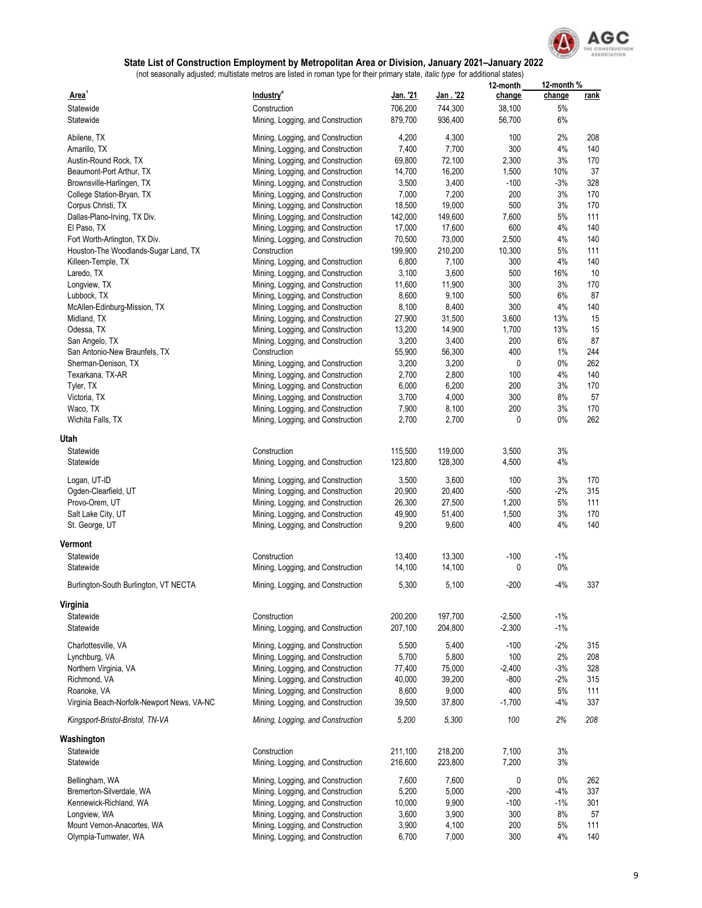

|                                            |                                   |                  |                 | 12-month | 12-month% |      |
|--------------------------------------------|-----------------------------------|------------------|-----------------|----------|-----------|------|
| Area'                                      | Industry <sup>2</sup>             | <u> Jan. '21</u> | <u>Jan. '22</u> | change   | change    | rank |
| Statewide                                  | Construction                      | 706,200          | 744,300         | 38,100   | 5%        |      |
| Statewide                                  | Mining, Logging, and Construction | 879,700          | 936,400         | 56,700   | 6%        |      |
|                                            |                                   |                  |                 |          |           |      |
| Abilene, TX                                | Mining, Logging, and Construction | 4,200            | 4,300           | 100      | 2%        | 208  |
| Amarillo, TX                               | Mining, Logging, and Construction | 7,400            | 7,700           | 300      | 4%        | 140  |
| Austin-Round Rock, TX                      | Mining, Logging, and Construction | 69,800           | 72,100          | 2,300    | 3%        | 170  |
| Beaumont-Port Arthur, TX                   | Mining, Logging, and Construction | 14,700           | 16,200          | 1,500    | 10%       | 37   |
| Brownsville-Harlingen, TX                  | Mining, Logging, and Construction | 3,500            | 3,400           | $-100$   | $-3%$     | 328  |
| College Station-Bryan, TX                  | Mining, Logging, and Construction | 7,000            | 7,200           | 200      | 3%        | 170  |
| Corpus Christi, TX                         | Mining, Logging, and Construction | 18,500           | 19,000          | 500      | 3%        | 170  |
| Dallas-Plano-Irving, TX Div.               | Mining, Logging, and Construction | 142,000          | 149,600         | 7,600    | 5%        | 111  |
| El Paso, TX                                | Mining, Logging, and Construction | 17,000           | 17,600          | 600      | 4%        | 140  |
| Fort Worth-Arlington, TX Div.              | Mining, Logging, and Construction | 70,500           | 73,000          | 2,500    | 4%        | 140  |
| Houston-The Woodlands-Sugar Land, TX       | Construction                      | 199,900          | 210,200         | 10,300   | 5%        | 111  |
| Killeen-Temple, TX                         | Mining, Logging, and Construction | 6,800            | 7,100           | 300      | 4%        | 140  |
| Laredo, TX                                 | Mining, Logging, and Construction | 3,100            | 3,600           | 500      | 16%       | 10   |
| Longview, TX                               | Mining, Logging, and Construction | 11,600           | 11,900          | 300      | 3%        | 170  |
| Lubbock, TX                                | Mining, Logging, and Construction | 8,600            | 9,100           | 500      | 6%        | 87   |
| McAllen-Edinburg-Mission, TX               | Mining, Logging, and Construction | 8,100            | 8,400           | 300      | 4%        | 140  |
| Midland, TX                                |                                   |                  | 31,500          | 3,600    | 13%       | 15   |
|                                            | Mining, Logging, and Construction | 27,900           |                 |          |           |      |
| Odessa, TX                                 | Mining, Logging, and Construction | 13,200           | 14,900          | 1,700    | 13%       | 15   |
| San Angelo, TX                             | Mining, Logging, and Construction | 3,200            | 3,400           | 200      | 6%        | 87   |
| San Antonio-New Braunfels, TX              | Construction                      | 55,900           | 56,300          | 400      | 1%        | 244  |
| Sherman-Denison, TX                        | Mining, Logging, and Construction | 3,200            | 3,200           | 0        | $0\%$     | 262  |
| Texarkana, TX-AR                           | Mining, Logging, and Construction | 2,700            | 2,800           | 100      | 4%        | 140  |
| Tyler, TX                                  | Mining, Logging, and Construction | 6,000            | 6,200           | 200      | 3%        | 170  |
| Victoria, TX                               | Mining, Logging, and Construction | 3,700            | 4,000           | 300      | 8%        | 57   |
| Waco, TX                                   | Mining, Logging, and Construction | 7,900            | 8,100           | 200      | 3%        | 170  |
| Wichita Falls, TX                          | Mining, Logging, and Construction | 2,700            | 2,700           | 0        | $0\%$     | 262  |
|                                            |                                   |                  |                 |          |           |      |
| Utah                                       |                                   |                  |                 |          |           |      |
| Statewide                                  | Construction                      | 115,500          | 119,000         | 3,500    | 3%        |      |
| Statewide                                  | Mining, Logging, and Construction | 123,800          | 128,300         | 4,500    | 4%        |      |
| Logan, UT-ID                               |                                   | 3,500            | 3,600           | 100      | 3%        | 170  |
|                                            | Mining, Logging, and Construction | 20,900           | 20,400          | $-500$   | $-2%$     | 315  |
| Ogden-Clearfield, UT                       | Mining, Logging, and Construction |                  |                 |          |           |      |
| Provo-Orem, UT                             | Mining, Logging, and Construction | 26,300           | 27,500          | 1,200    | 5%        | 111  |
| Salt Lake City, UT                         | Mining, Logging, and Construction | 49,900           | 51,400          | 1,500    | 3%        | 170  |
| St. George, UT                             | Mining, Logging, and Construction | 9,200            | 9,600           | 400      | 4%        | 140  |
| Vermont                                    |                                   |                  |                 |          |           |      |
| Statewide                                  | Construction                      | 13,400           | 13,300          | $-100$   | $-1\%$    |      |
| Statewide                                  | Mining, Logging, and Construction | 14,100           | 14,100          | 0        | $0\%$     |      |
|                                            |                                   |                  |                 |          |           |      |
| Burlington-South Burlington, VT NECTA      | Mining, Logging, and Construction | 5,300            | 5,100           | $-200$   | $-4%$     | 337  |
| Virginia                                   |                                   |                  |                 |          |           |      |
| Statewide                                  |                                   |                  |                 |          | $-1%$     |      |
|                                            | Construction                      | 200,200          | 197,700         | $-2,500$ |           |      |
| Statewide                                  | Mining, Logging, and Construction | 207,100          | 204,800         | $-2,300$ | $-1\%$    |      |
| Charlottesville, VA                        | Mining, Logging, and Construction | 5,500            | 5,400           | $-100$   | $-2%$     | 315  |
| Lynchburg, VA                              | Mining, Logging, and Construction | 5,700            | 5,800           | 100      | 2%        | 208  |
| Northern Virginia, VA                      | Mining, Logging, and Construction | 77,400           | 75,000          | $-2,400$ | $-3%$     | 328  |
| Richmond, VA                               | Mining, Logging, and Construction | 40,000           | 39,200          | $-800$   | $-2%$     | 315  |
| Roanoke, VA                                | Mining, Logging, and Construction | 8,600            | 9,000           | 400      | 5%        | 111  |
| Virginia Beach-Norfolk-Newport News, VA-NC | Mining, Logging, and Construction |                  |                 | $-1,700$ | -4%       | 337  |
|                                            |                                   | 39,500           | 37,800          |          |           |      |
| Kingsport-Bristol-Bristol, TN-VA           | Mining, Logging, and Construction | 5,200            | 5,300           | 100      | 2%        | 208  |
| Washington                                 |                                   |                  |                 |          |           |      |
| Statewide                                  | Construction                      | 211,100          | 218,200         | 7,100    | 3%        |      |
| Statewide                                  | Mining, Logging, and Construction | 216,600          | 223,800         | 7,200    | 3%        |      |
|                                            |                                   |                  |                 |          |           |      |
| Bellingham, WA                             | Mining, Logging, and Construction | 7,600            | 7,600           | 0        | $0\%$     | 262  |
| Bremerton-Silverdale, WA                   | Mining, Logging, and Construction | 5,200            | 5,000           | $-200$   | $-4%$     | 337  |
| Kennewick-Richland, WA                     | Mining, Logging, and Construction | 10,000           | 9,900           | $-100$   | $-1%$     | 301  |
| Longview, WA                               | Mining, Logging, and Construction | 3,600            | 3,900           | 300      | 8%        | 57   |
| Mount Vernon-Anacortes, WA                 | Mining, Logging, and Construction | 3,900            | 4,100           | 200      | 5%        | 111  |
| Olympia-Tumwater, WA                       | Mining, Logging, and Construction | 6,700            | 7,000           | 300      | 4%        | 140  |